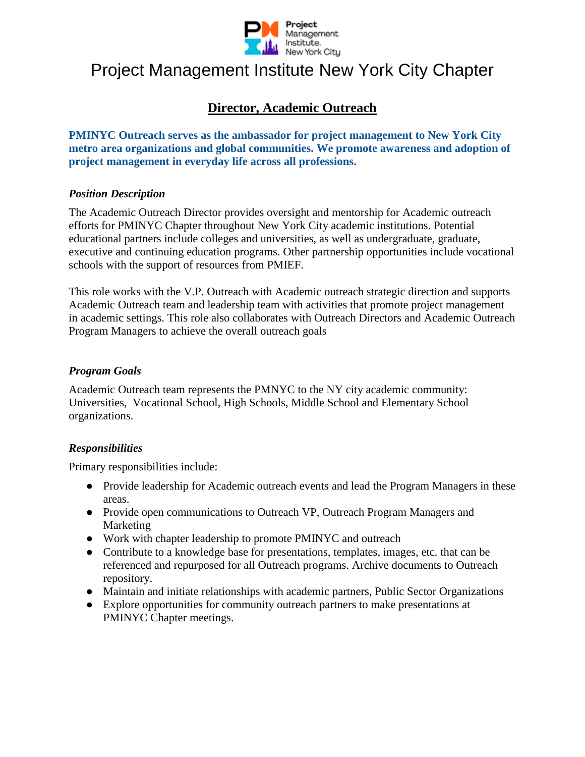

# Project Management Institute New York City Chapter

# **Director, Academic Outreach**

**PMINYC Outreach serves as the ambassador for project management to New York City metro area organizations and global communities. We promote awareness and adoption of project management in everyday life across all professions.**

## *Position Description*

The Academic Outreach Director provides oversight and mentorship for Academic outreach efforts for PMINYC Chapter throughout New York City academic institutions. Potential educational partners include colleges and universities, as well as undergraduate, graduate, executive and continuing education programs. Other partnership opportunities include vocational schools with the support of resources from PMIEF.

This role works with the V.P. Outreach with Academic outreach strategic direction and supports Academic Outreach team and leadership team with activities that promote project management in academic settings. This role also collaborates with Outreach Directors and Academic Outreach Program Managers to achieve the overall outreach goals

#### *Program Goals*

Academic Outreach team represents the PMNYC to the NY city academic community: Universities, Vocational School, High Schools, Middle School and Elementary School organizations.

## *Responsibilities*

Primary responsibilities include:

- Provide leadership for Academic outreach events and lead the Program Managers in these areas.
- Provide open communications to Outreach VP, Outreach Program Managers and Marketing
- Work with chapter leadership to promote PMINYC and outreach
- Contribute to a knowledge base for presentations, templates, images, etc. that can be referenced and repurposed for all Outreach programs. Archive documents to Outreach repository.
- Maintain and initiate relationships with academic partners, Public Sector Organizations
- Explore opportunities for community outreach partners to make presentations at PMINYC Chapter meetings.